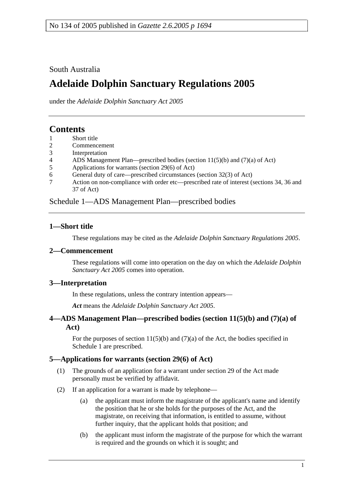South Australia

# **Adelaide Dolphin Sanctuary Regulations 2005**

under the *Adelaide Dolphin Sanctuary Act 2005*

# **Contents**

- 1 Short title
- 2 Commencement
- 3 Interpretation
- 4 ADS Management Plan—prescribed bodies (section 11(5)(b) and (7)(a) of Act)
- 5 Applications for warrants (section 29(6) of Act)
- 6 General duty of care—prescribed circumstances (section 32(3) of Act)
- 7 Action on non-compliance with order etc—prescribed rate of interest (sections 34, 36 and 37 of Act)

Schedule 1—ADS Management Plan—prescribed bodies

# **1—Short title**

These regulations may be cited as the *Adelaide Dolphin Sanctuary Regulations 2005*.

# **2—Commencement**

These regulations will come into operation on the day on which the *Adelaide Dolphin Sanctuary Act 2005* comes into operation.

# **3—Interpretation**

In these regulations, unless the contrary intention appears—

*Act* means the *Adelaide Dolphin Sanctuary Act 2005*.

# **4—ADS Management Plan—prescribed bodies (section 11(5)(b) and (7)(a) of Act)**

For the purposes of section 11(5)(b) and (7)(a) of the Act, the bodies specified in Schedule 1 are prescribed.

#### **5—Applications for warrants (section 29(6) of Act)**

- (1) The grounds of an application for a warrant under section 29 of the Act made personally must be verified by affidavit.
- (2) If an application for a warrant is made by telephone—
	- (a) the applicant must inform the magistrate of the applicant's name and identify the position that he or she holds for the purposes of the Act, and the magistrate, on receiving that information, is entitled to assume, without further inquiry, that the applicant holds that position; and
	- (b) the applicant must inform the magistrate of the purpose for which the warrant is required and the grounds on which it is sought; and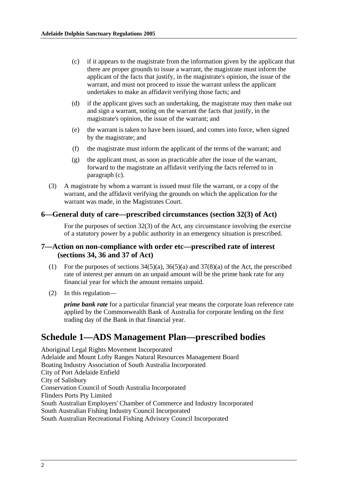- (c) if it appears to the magistrate from the information given by the applicant that there are proper grounds to issue a warrant, the magistrate must inform the applicant of the facts that justify, in the magistrate's opinion, the issue of the warrant, and must not proceed to issue the warrant unless the applicant undertakes to make an affidavit verifying those facts; and
- (d) if the applicant gives such an undertaking, the magistrate may then make out and sign a warrant, noting on the warrant the facts that justify, in the magistrate's opinion, the issue of the warrant; and
- (e) the warrant is taken to have been issued, and comes into force, when signed by the magistrate; and
- (f) the magistrate must inform the applicant of the terms of the warrant; and
- (g) the applicant must, as soon as practicable after the issue of the warrant, forward to the magistrate an affidavit verifying the facts referred to in paragraph (c).
- (3) A magistrate by whom a warrant is issued must file the warrant, or a copy of the warrant, and the affidavit verifying the grounds on which the application for the warrant was made, in the Magistrates Court.

### **6—General duty of care—prescribed circumstances (section 32(3) of Act)**

For the purposes of section 32(3) of the Act, any circumstance involving the exercise of a statutory power by a public authority in an emergency situation is prescribed.

### **7—Action on non-compliance with order etc—prescribed rate of interest (sections 34, 36 and 37 of Act)**

- (1) For the purposes of sections  $34(5)(a)$ ,  $36(5)(a)$  and  $37(8)(a)$  of the Act, the prescribed rate of interest per annum on an unpaid amount will be the prime bank rate for any financial year for which the amount remains unpaid.
- (2) In this regulation—

*prime bank rate* for a particular financial year means the corporate loan reference rate applied by the Commonwealth Bank of Australia for corporate lending on the first trading day of the Bank in that financial year.

# **Schedule 1—ADS Management Plan—prescribed bodies**

Aboriginal Legal Rights Movement Incorporated Adelaide and Mount Lofty Ranges Natural Resources Management Board Boating Industry Association of South Australia Incorporated City of Port Adelaide Enfield City of Salisbury Conservation Council of South Australia Incorporated Flinders Ports Pty Limited South Australian Employers' Chamber of Commerce and Industry Incorporated South Australian Fishing Industry Council Incorporated South Australian Recreational Fishing Advisory Council Incorporated